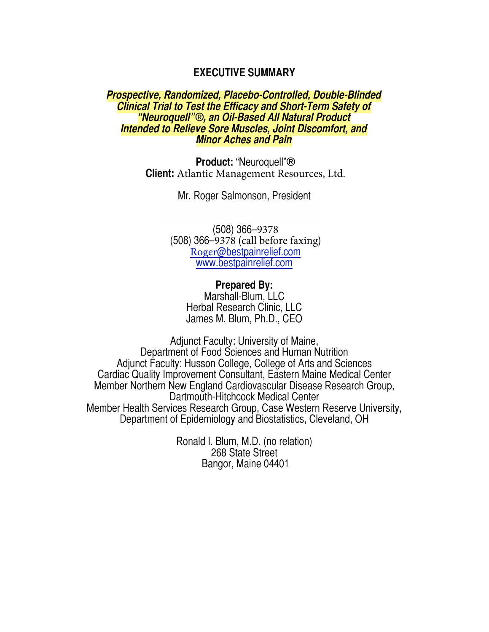# **EXECUTIVE SUMMARY**

## *Prospective, Randomized, Placebo-Controlled, Double-Blinded Clinical Trial to Test the Efficacy and Short-Term Safety of "Neuroquell"®, an Oil-Based All Natural Product Intended to Relieve Sore Muscles, Joint Discomfort, and Minor Aches and Pain*

**Product:** "Neuroquell"® **Client:** Atlantic Management Resources, Ltd.

Mr. Roger Salmonson, President

Westboro, MA 01581 (508) 366–9378 (508) 366–9378 (call before faxing) Roger[@bestpainrelief.com](mailto:info@myoquel.com) [www.bestpainrelief.com](mailto:info@myoquel.com)

> **Prepared By:** Marshall-Blum, LLC Herbal Research Clinic, LLC James M. Blum, Ph.D., CEO

Adjunct Faculty: University of Maine, Department of Food Sciences and Human Nutrition Adjunct Faculty: Husson College, College of Arts and Sciences Cardiac Quality Improvement Consultant, Eastern Maine Medical Center Member Northern New England Cardiovascular Disease Research Group, Dartmouth-Hitchcock Medical Center Member Health Services Research Group, Case Western Reserve University, Department of Epidemiology and Biostatistics, Cleveland, OH

> Ronald I. Blum, M.D. (no relation) 268 State Street Bangor, Maine 04401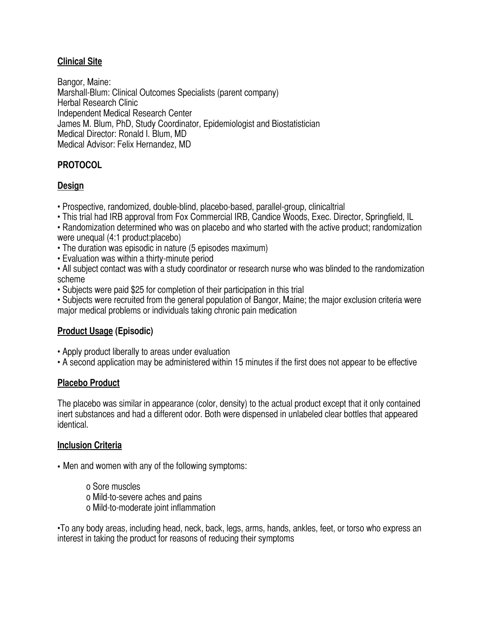# **Clinical Site**

Bangor, Maine: Marshall-Blum: Clinical Outcomes Specialists (parent company) Herbal Research Clinic Independent Medical Research Center James M. Blum, PhD, Study Coordinator, Epidemiologist and Biostatistician Medical Director: Ronald I. Blum, MD Medical Advisor: Felix Hernandez, MD

# **PROTOCOL**

# **Design**

- Prospective, randomized, double-blind, placebo-based, parallel-group, clinicaltrial
- This trial had IRB approval from Fox Commercial IRB, Candice Woods, Exec. Director, Springfield, IL

• Randomization determined who was on placebo and who started with the active product; randomization were unequal (4:1 product:placebo)

- The duration was episodic in nature (5 episodes maximum)
- Evaluation was within a thirty-minute period
- All subject contact was with a study coordinator or research nurse who was blinded to the randomization scheme
- Subjects were paid \$25 for completion of their participation in this trial
- Subjects were recruited from the general population of Bangor, Maine; the major exclusion criteria were major medical problems or individuals taking chronic pain medication

# **Product Usage (Episodic)**

- Apply product liberally to areas under evaluation
- A second application may be administered within 15 minutes if the first does not appear to be effective

## **Placebo Product**

The placebo was similar in appearance (color, density) to the actual product except that it only contained inert substances and had a different odor. Both were dispensed in unlabeled clear bottles that appeared identical.

## **Inclusion Criteria**

• Men and women with any of the following symptoms:

o Sore muscles o Mild-to-severe aches and pains o Mild-to-moderate joint inflammation

•To any body areas, including head, neck, back, legs, arms, hands, ankles, feet, or torso who express an interest in taking the product for reasons of reducing their symptoms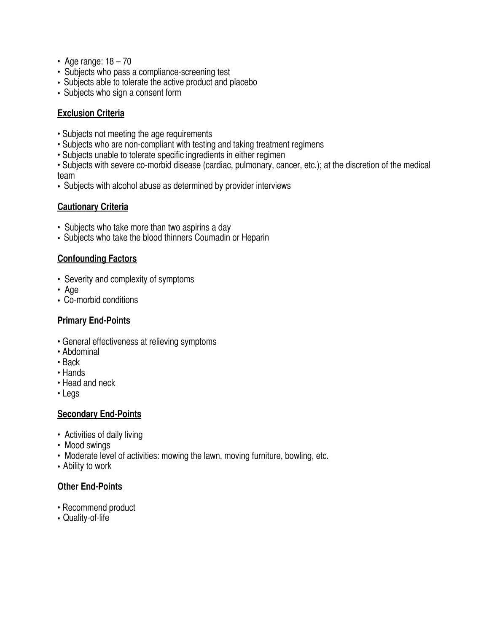- Age range:  $18 70$
- Subjects who pass a compliance-screening test
- Subjects able to tolerate the active product and placebo
- Subjects who sign a consent form

# **Exclusion Criteria**

- Subjects not meeting the age requirements
- Subjects who are non-compliant with testing and taking treatment regimens
- Subjects unable to tolerate specific ingredients in either regimen

• Subjects with severe co-morbid disease (cardiac, pulmonary, cancer, etc.); at the discretion of the medical team

• Subjects with alcohol abuse as determined by provider interviews

# **Cautionary Criteria**

- Subjects who take more than two aspirins a day
- Subjects who take the blood thinners Coumadin or Heparin

# **Confounding Factors**

- Severity and complexity of symptoms
- Age
- Co-morbid conditions

# **Primary End-Points**

- General effectiveness at relieving symptoms
- Abdominal
- Back
- Hands
- Head and neck
- Legs

# **Secondary End-Points**

- Activities of daily living
- Mood swings
- Moderate level of activities: mowing the lawn, moving furniture, bowling, etc.
- Ability to work

# **Other End-Points**

- Recommend product
- Quality-of-life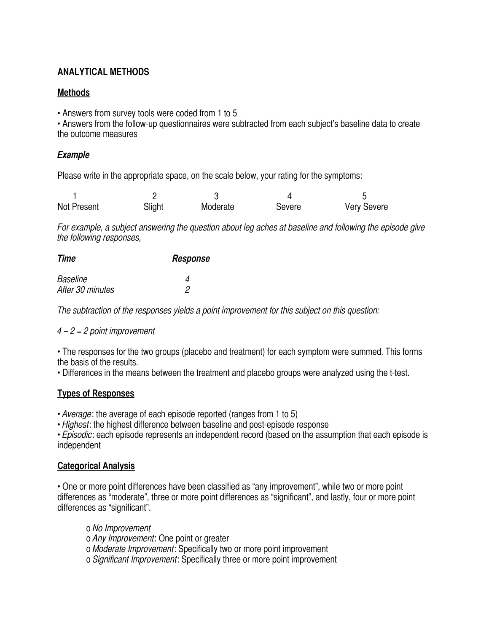# **ANALYTICAL METHODS**

# **Methods**

• Answers from survey tools were coded from 1 to 5

• Answers from the follow-up questionnaires were subtracted from each subject's baseline data to create the outcome measures

# *Example*

Please write in the appropriate space, on the scale below, your rating for the symptoms:

| Not Present | Slight | Moderate | Severe | <b>Very Severe</b> |
|-------------|--------|----------|--------|--------------------|

*For example, a subject answering the question about leg aches at baseline and following the episode give the following responses,*

| Time             | Response |
|------------------|----------|
| Baseline         |          |
| After 30 minutes |          |

*The subtraction of the responses yields a point improvement for this subject on this question:*

# *4 – 2 = 2 point improvement*

• The responses for the two groups (placebo and treatment) for each symptom were summed. This forms the basis of the results.

• Differences in the means between the treatment and placebo groups were analyzed using the t-test.

# **Types of Responses**

• *Average*: the average of each episode reported (ranges from 1 to 5)

• *Highest*: the highest difference between baseline and post-episode response

• *Episodic*: each episode represents an independent record (based on the assumption that each episode is independent

## **Categorical Analysis**

• One or more point differences have been classified as "any improvement", while two or more point differences as "moderate", three or more point differences as "significant", and lastly, four or more point differences as "significant".

o *No Improvement* o *Any Improvement*: One point or greater o *Moderate Improvement*: Specifically two or more point improvement o *Significant Improvement*: Specifically three or more point improvement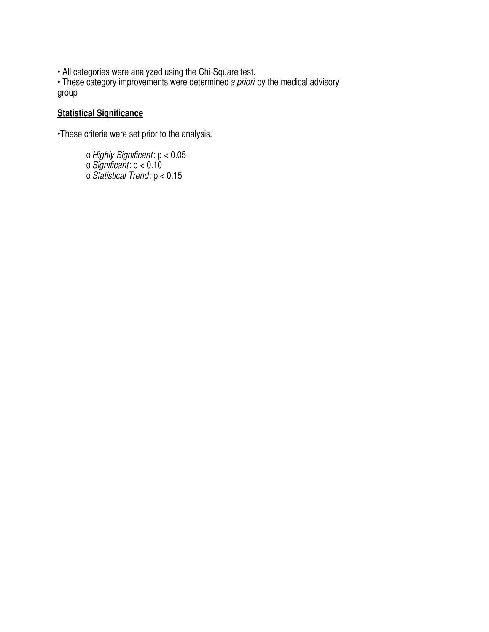• All categories were analyzed using the Chi-Square test.

• These category improvements were determined *a priori* by the medical advisory group

# **Statistical Significance**

•These criteria were set prior to the analysis.

o *Highly Significant*: p < 0.05 o *Significant*: p < 0.10 o *Statistical Trend*: p < 0.15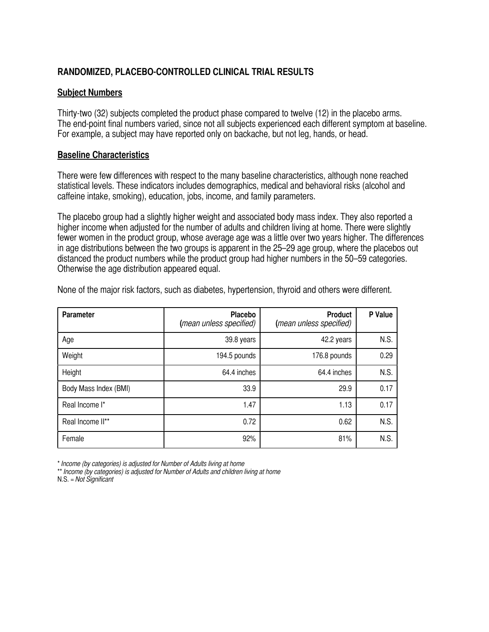# **RANDOMIZED, PLACEBO-CONTROLLED CLINICAL TRIAL RESULTS**

#### **Subject Numbers**

Thirty-two (32) subjects completed the product phase compared to twelve (12) in the placebo arms. The end-point final numbers varied, since not all subjects experienced each different symptom at baseline. For example, a subject may have reported only on backache, but not leg, hands, or head.

### **Baseline Characteristics**

There were few differences with respect to the many baseline characteristics, although none reached statistical levels. These indicators includes demographics, medical and behavioral risks (alcohol and caffeine intake, smoking), education, jobs, income, and family parameters.

The placebo group had a slightly higher weight and associated body mass index. They also reported a higher income when adjusted for the number of adults and children living at home. There were slightly fewer women in the product group, whose average age was a little over two years higher. The differences in age distributions between the two groups is apparent in the 25–29 age group, where the placebos out distanced the product numbers while the product group had higher numbers in the 50–59 categories. Otherwise the age distribution appeared equal.

| <b>Parameter</b>      | Placebo<br>(mean unless specified) | <b>Product</b><br>(mean unless specified) | P Value |
|-----------------------|------------------------------------|-------------------------------------------|---------|
| Age                   | 39.8 years                         | 42.2 years                                | N.S.    |
| Weight                | 194.5 pounds                       | 176.8 pounds                              | 0.29    |
| Height                | 64.4 inches                        | 64.4 inches                               | N.S.    |
| Body Mass Index (BMI) | 33.9                               | 29.9                                      | 0.17    |
| Real Income I*        | 1.47                               | 1.13                                      | 0.17    |
| Real Income II**      | 0.72                               | 0.62                                      | N.S.    |
| Female                | 92%                                | 81%                                       | N.S.    |

None of the major risk factors, such as diabetes, hypertension, thyroid and others were different.

\* *Income (by categories) is adjusted for Number of Adults living at home*

<sup>\*\*</sup> *Income (by categories) is adjusted for Number of Adults and children living at home* N.S. = *Not Significant*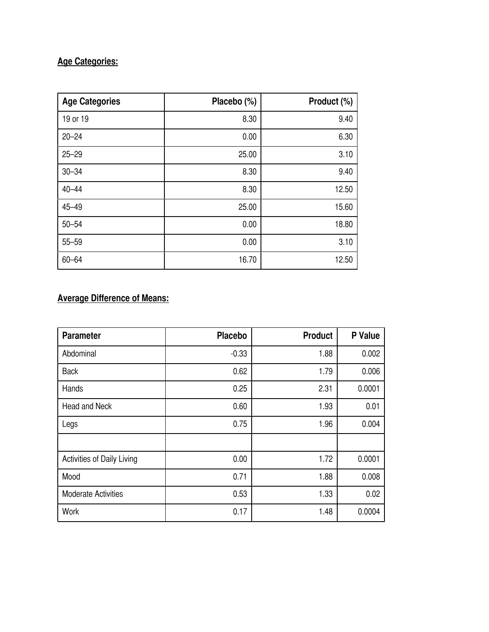# **Age Categories:**

| <b>Age Categories</b> | Placebo (%) | Product (%) |
|-----------------------|-------------|-------------|
| 19 or 19              | 8.30        | 9.40        |
| $20 - 24$             | 0.00        | 6.30        |
| $25 - 29$             | 25.00       | 3.10        |
| $30 - 34$             | 8.30        | 9.40        |
| $40 - 44$             | 8.30        | 12.50       |
| $45 - 49$             | 25.00       | 15.60       |
| $50 - 54$             | 0.00        | 18.80       |
| $55 - 59$             | 0.00        | 3.10        |
| $60 - 64$             | 16.70       | 12.50       |

# **Average Difference of Means:**

| <b>Parameter</b>                  | <b>Placebo</b> | <b>Product</b> | P Value |
|-----------------------------------|----------------|----------------|---------|
| Abdominal                         | $-0.33$        | 1.88           | 0.002   |
| <b>Back</b>                       | 0.62           | 1.79           | 0.006   |
| Hands                             | 0.25           | 2.31           | 0.0001  |
| <b>Head and Neck</b>              | 0.60           | 1.93           | 0.01    |
| Legs                              | 0.75           | 1.96           | 0.004   |
|                                   |                |                |         |
| <b>Activities of Daily Living</b> | 0.00           | 1.72           | 0.0001  |
| Mood                              | 0.71           | 1.88           | 0.008   |
| <b>Moderate Activities</b>        | 0.53           | 1.33           | 0.02    |
| Work                              | 0.17           | 1.48           | 0.0004  |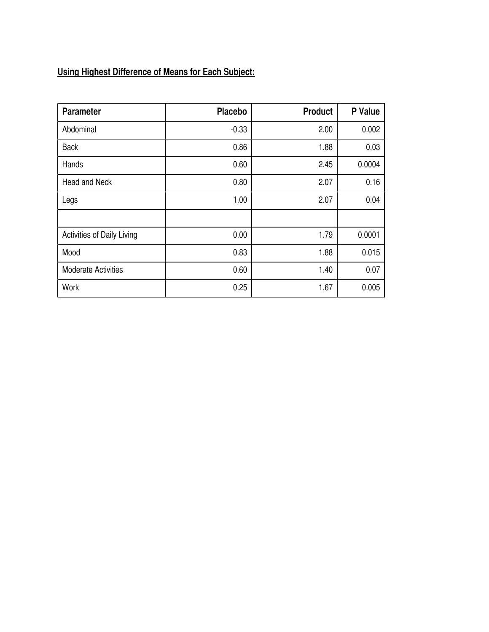# **Using Highest Difference of Means for Each Subject:**

| <b>Parameter</b>                  | <b>Placebo</b> | <b>Product</b> | P Value |
|-----------------------------------|----------------|----------------|---------|
| Abdominal                         | $-0.33$        | 2.00           | 0.002   |
| <b>Back</b>                       | 0.86           | 1.88           | 0.03    |
| Hands                             | 0.60           | 2.45           | 0.0004  |
| <b>Head and Neck</b>              | 0.80           | 2.07           | 0.16    |
| Legs                              | 1.00           | 2.07           | 0.04    |
|                                   |                |                |         |
| <b>Activities of Daily Living</b> | 0.00           | 1.79           | 0.0001  |
| Mood                              | 0.83           | 1.88           | 0.015   |
| <b>Moderate Activities</b>        | 0.60           | 1.40           | 0.07    |
| Work                              | 0.25           | 1.67           | 0.005   |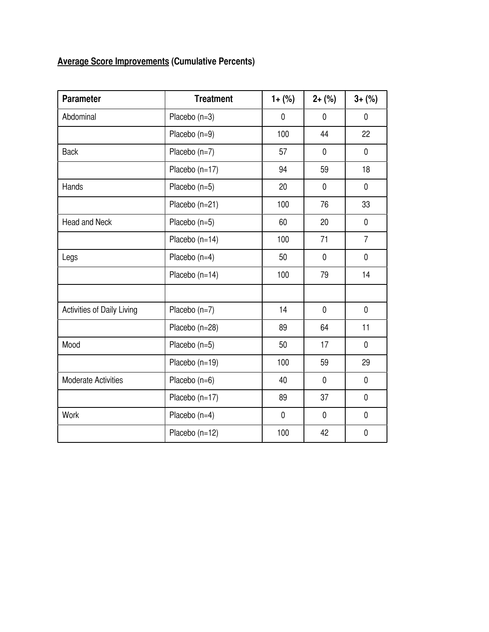# **Average Score Improvements (Cumulative Percents)**

| <b>Parameter</b>                  | <b>Treatment</b> | $1 + (*)$   | $2+(%)$     | $3 + (%)$      |
|-----------------------------------|------------------|-------------|-------------|----------------|
| Abdominal                         | Placebo (n=3)    | $\mathbf 0$ | $\mathbf 0$ | $\mathbf 0$    |
|                                   | Placebo (n=9)    | 100         | 44          | 22             |
| <b>Back</b>                       | Placebo (n=7)    | 57          | $\mathbf 0$ | $\mathbf 0$    |
|                                   | Placebo (n=17)   | 94          | 59          | 18             |
| Hands                             | Placebo (n=5)    | 20          | $\mathbf 0$ | $\mathbf 0$    |
|                                   | Placebo (n=21)   | 100         | 76          | 33             |
| <b>Head and Neck</b>              | Placebo (n=5)    | 60          | 20          | $\mathbf 0$    |
|                                   | Placebo (n=14)   | 100         | 71          | $\overline{7}$ |
| Legs                              | Placebo (n=4)    | 50          | $\mathbf 0$ | 0              |
|                                   | Placebo (n=14)   | 100         | 79          | 14             |
|                                   |                  |             |             |                |
| <b>Activities of Daily Living</b> | Placebo (n=7)    | 14          | $\mathbf 0$ | $\mathbf 0$    |
|                                   | Placebo (n=28)   | 89          | 64          | 11             |
| Mood                              | Placebo (n=5)    | 50          | 17          | $\mathbf 0$    |
|                                   | Placebo (n=19)   | 100         | 59          | 29             |
| <b>Moderate Activities</b>        | Placebo (n=6)    | 40          | $\mathbf 0$ | $\mathbf 0$    |
|                                   | Placebo (n=17)   | 89          | 37          | $\mathbf 0$    |
| Work                              | Placebo (n=4)    | $\mathbf 0$ | $\mathbf 0$ | $\mathbf 0$    |
|                                   | Placebo (n=12)   | 100         | 42          | $\mathbf 0$    |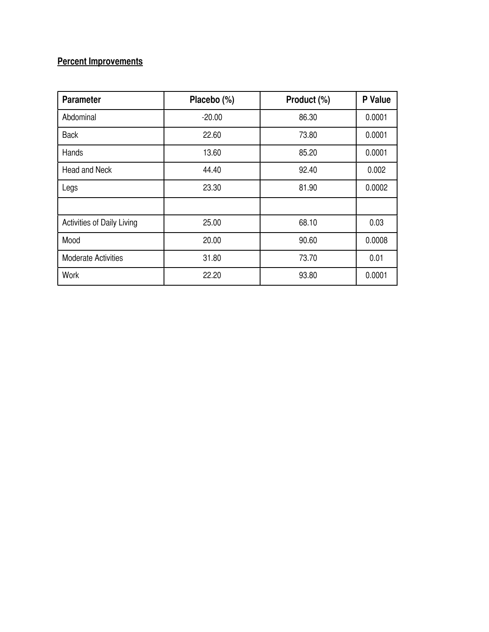# **Percent Improvements**

| <b>Parameter</b>           | Placebo (%) | Product (%) | P Value |
|----------------------------|-------------|-------------|---------|
| Abdominal                  | $-20.00$    | 86.30       | 0.0001  |
| <b>Back</b>                | 22.60       | 73.80       | 0.0001  |
| Hands                      | 13.60       | 85.20       | 0.0001  |
| <b>Head and Neck</b>       | 44.40       | 92.40       | 0.002   |
| Legs                       | 23.30       | 81.90       | 0.0002  |
|                            |             |             |         |
| Activities of Daily Living | 25.00       | 68.10       | 0.03    |
| Mood                       | 20.00       | 90.60       | 0.0008  |
| <b>Moderate Activities</b> | 31.80       | 73.70       | 0.01    |
| Work                       | 22.20       | 93.80       | 0.0001  |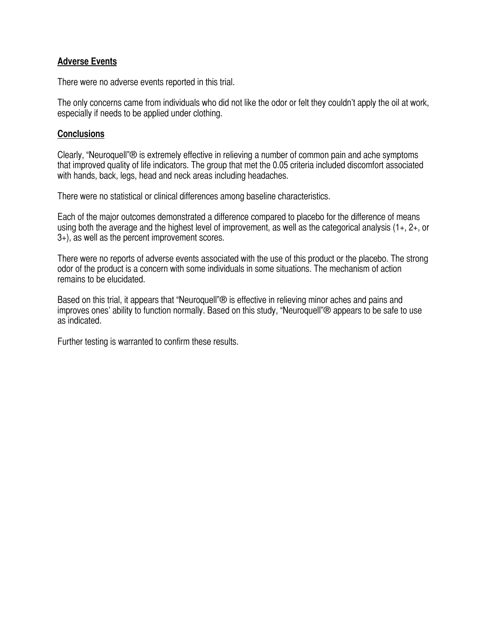## **Adverse Events**

There were no adverse events reported in this trial.

The only concerns came from individuals who did not like the odor or felt they couldn't apply the oil at work, especially if needs to be applied under clothing.

## **Conclusions**

Clearly, "Neuroquell"® is extremely effective in relieving a number of common pain and ache symptoms that improved quality of life indicators. The group that met the 0.05 criteria included discomfort associated with hands, back, legs, head and neck areas including headaches.

There were no statistical or clinical differences among baseline characteristics.

Each of the major outcomes demonstrated a difference compared to placebo for the difference of means using both the average and the highest level of improvement, as well as the categorical analysis (1+, 2+, or 3+), as well as the percent improvement scores.

There were no reports of adverse events associated with the use of this product or the placebo. The strong odor of the product is a concern with some individuals in some situations. The mechanism of action remains to be elucidated.

Based on this trial, it appears that "Neuroquell"® is effective in relieving minor aches and pains and improves ones' ability to function normally. Based on this study, "Neuroquell"® appears to be safe to use as indicated.

Further testing is warranted to confirm these results.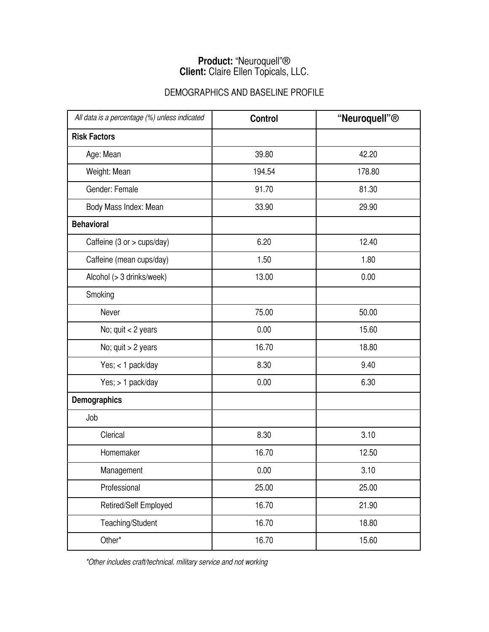# **Product:** "Neuroquell"® **Client:** Claire Ellen Topicals, LLC.

# DEMOGRAPHICS AND BASELINE PROFILE

| All data is a percentage (%) unless indicated | <b>Control</b> | "Neuroquell" <sup>®</sup> |
|-----------------------------------------------|----------------|---------------------------|
| <b>Risk Factors</b>                           |                |                           |
| Age: Mean                                     | 39.80          | 42.20                     |
| Weight: Mean                                  | 194.54         | 178.80                    |
| Gender: Female                                | 91.70          | 81.30                     |
| Body Mass Index: Mean                         | 33.90          | 29.90                     |
| <b>Behavioral</b>                             |                |                           |
| Caffeine (3 or > cups/day)                    | 6.20           | 12.40                     |
| Caffeine (mean cups/day)                      | 1.50           | 1.80                      |
| Alcohol (> 3 drinks/week)                     | 13.00          | 0.00                      |
| Smoking                                       |                |                           |
| Never                                         | 75.00          | 50.00                     |
| No; quit < 2 years                            | 0.00           | 15.60                     |
| No; quit > 2 years                            | 16.70          | 18.80                     |
| Yes; < 1 pack/day                             | 8.30           | 9.40                      |
| Yes; > 1 pack/day                             | 0.00           | 6.30                      |
| <b>Demographics</b>                           |                |                           |
| Job                                           |                |                           |
| Clerical                                      | 8.30           | 3.10                      |
| Homemaker                                     | 16.70          | 12.50                     |
| Management                                    | 0.00           | 3.10                      |
| Professional                                  | 25.00          | 25.00                     |
| Retired/Self Employed                         | 16.70          | 21.90                     |
| Teaching/Student                              | 16.70          | 18.80                     |
| Other*                                        | 16.70          | 15.60                     |

 *\*Other includes craft/technical. military service and not working*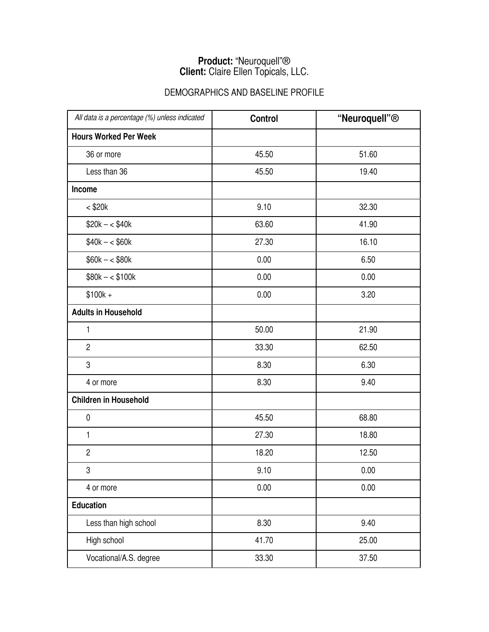# **Product:** "Neuroquell"® **Client:** Claire Ellen Topicals, LLC.

# DEMOGRAPHICS AND BASELINE PROFILE

| All data is a percentage (%) unless indicated | <b>Control</b> | "Neuroquell" <sup>®</sup> |
|-----------------------------------------------|----------------|---------------------------|
| <b>Hours Worked Per Week</b>                  |                |                           |
| 36 or more                                    | 45.50          | 51.60                     |
| Less than 36                                  | 45.50          | 19.40                     |
| <b>Income</b>                                 |                |                           |
| $<$ \$20 $k$                                  | 9.10           | 32.30                     |
| $$20k - $40k$                                 | 63.60          | 41.90                     |
| $$40k - $60k$                                 | 27.30          | 16.10                     |
| $$60k - $80k$                                 | 0.00           | 6.50                      |
| $$80k - $100k$                                | 0.00           | 0.00                      |
| $$100k +$                                     | 0.00           | 3.20                      |
| <b>Adults in Household</b>                    |                |                           |
| 1                                             | 50.00          | 21.90                     |
| $\overline{2}$                                | 33.30          | 62.50                     |
| 3                                             | 8.30           | 6.30                      |
| 4 or more                                     | 8.30           | 9.40                      |
| <b>Children in Household</b>                  |                |                           |
| $\pmb{0}$                                     | 45.50          | 68.80                     |
| $\mathbf{1}$                                  | 27.30          | 18.80                     |
| $\overline{c}$                                | 18.20          | 12.50                     |
| 3                                             | 9.10           | 0.00                      |
| 4 or more                                     | 0.00           | 0.00                      |
| <b>Education</b>                              |                |                           |
| Less than high school                         | 8.30           | 9.40                      |
| High school                                   | 41.70          | 25.00                     |
| Vocational/A.S. degree                        | 33.30          | 37.50                     |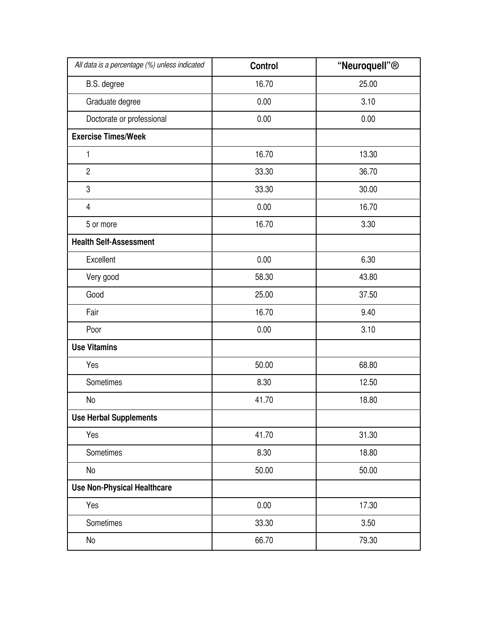| All data is a percentage (%) unless indicated | <b>Control</b> | "Neuroquell" <sup>®</sup> |
|-----------------------------------------------|----------------|---------------------------|
| B.S. degree                                   | 16.70          | 25.00                     |
| Graduate degree                               | 0.00           | 3.10                      |
| Doctorate or professional                     | 0.00           | 0.00                      |
| <b>Exercise Times/Week</b>                    |                |                           |
| 1                                             | 16.70          | 13.30                     |
| $\overline{2}$                                | 33.30          | 36.70                     |
| $\boldsymbol{3}$                              | 33.30          | 30.00                     |
| $\overline{4}$                                | 0.00           | 16.70                     |
| 5 or more                                     | 16.70          | 3.30                      |
| <b>Health Self-Assessment</b>                 |                |                           |
| Excellent                                     | 0.00           | 6.30                      |
| Very good                                     | 58.30          | 43.80                     |
| Good                                          | 25.00          | 37.50                     |
| Fair                                          | 16.70          | 9.40                      |
| Poor                                          | 0.00           | 3.10                      |
| <b>Use Vitamins</b>                           |                |                           |
| Yes                                           | 50.00          | 68.80                     |
| Sometimes                                     | 8.30           | 12.50                     |
| No                                            | 41.70          | 18.80                     |
| <b>Use Herbal Supplements</b>                 |                |                           |
| Yes                                           | 41.70          | 31.30                     |
| Sometimes                                     | 8.30           | 18.80                     |
| No                                            | 50.00          | 50.00                     |
| <b>Use Non-Physical Healthcare</b>            |                |                           |
| Yes                                           | 0.00           | 17.30                     |
| Sometimes                                     | 33.30          | 3.50                      |
| No                                            | 66.70          | 79.30                     |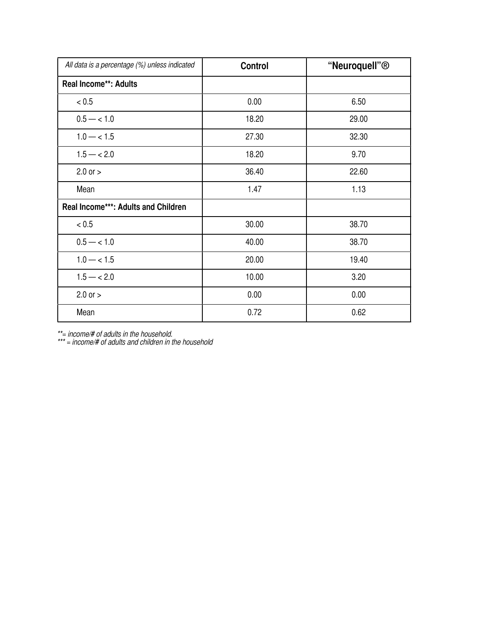| All data is a percentage (%) unless indicated | <b>Control</b> | "Neuroquell" <sup>®</sup> |
|-----------------------------------------------|----------------|---------------------------|
| <b>Real Income**: Adults</b>                  |                |                           |
| < 0.5                                         | 0.00           | 6.50                      |
| $0.5 - < 1.0$                                 | 18.20          | 29.00                     |
| $1.0 - < 1.5$                                 | 27.30          | 32.30                     |
| $1.5 - < 2.0$                                 | 18.20          | 9.70                      |
| $2.0$ or $>$                                  | 36.40          | 22.60                     |
| Mean                                          | 1.47           | 1.13                      |
| <b>Real Income***: Adults and Children</b>    |                |                           |
| < 0.5                                         | 30.00          | 38.70                     |
| $0.5 - < 1.0$                                 | 40.00          | 38.70                     |
| $1.0 - < 1.5$                                 | 20.00          | 19.40                     |
| $1.5 - < 2.0$                                 | 10.00          | 3.20                      |
| $2.0$ or $>$                                  | 0.00           | 0.00                      |
| Mean                                          | 0.72           | 0.62                      |

*\*\*= income/# of adults in the household.*

*\*\*\* = income/# of adults and children in the household*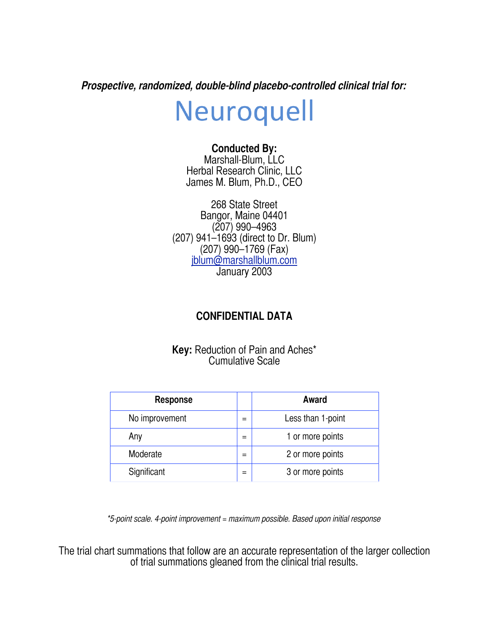*Prospective, randomized, double-blind placebo-controlled clinical trial for:*

# Neuroquell

# **Conducted By:**

Marshall-Blum, LLC Herbal Research Clinic, LLC James M. Blum, Ph.D., CEO

268 State Street Bangor, Maine 04401 (207) 990–4963 (207) 941–1693 (direct to Dr. Blum) (207) 990–1769 (Fax) [jblum@marshallblum.com](mailto:jblum@marshallblum.com) January 2003

# **CONFIDENTIAL DATA**

**Key:** Reduction of Pain and Aches\* Cumulative Scale

| <b>Response</b> | Award             |
|-----------------|-------------------|
| No improvement  | Less than 1-point |
| Any             | 1 or more points  |
| Moderate        | 2 or more points  |
| Significant     | 3 or more points  |

*\*5-point scale. 4-point improvement = maximum possible. Based upon initial response*

The trial chart summations that follow are an accurate representation of the larger collection of trial summations gleaned from the clinical trial results.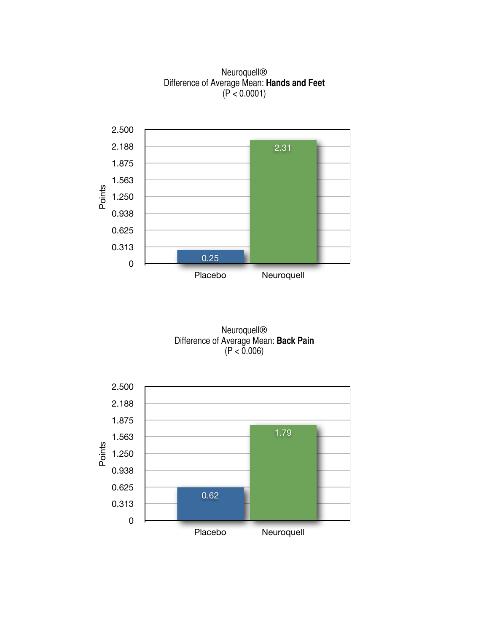Neuroquell® Difference of Average Mean: **Hands and Feet** (P < 0.0001)



Neuroquell® Difference of Average Mean: **Back Pain**  $(P < 0.006)$ 

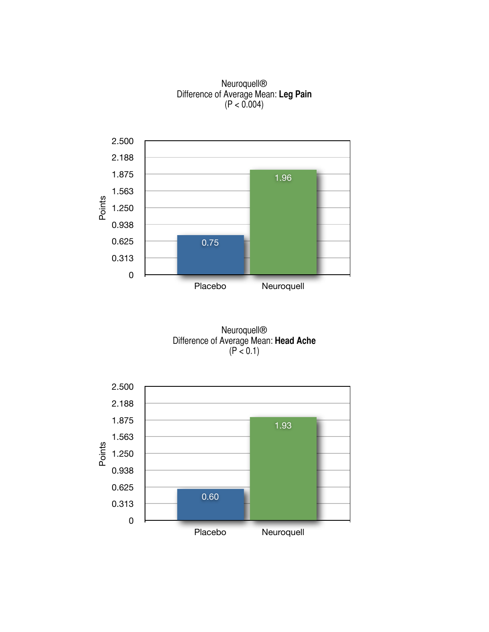#### Neuroquell® Difference of Average Mean: **Leg Pain**  $(P < 0.004)$



Neuroquell® Difference of Average Mean: **Head Ache** (P < 0.1)

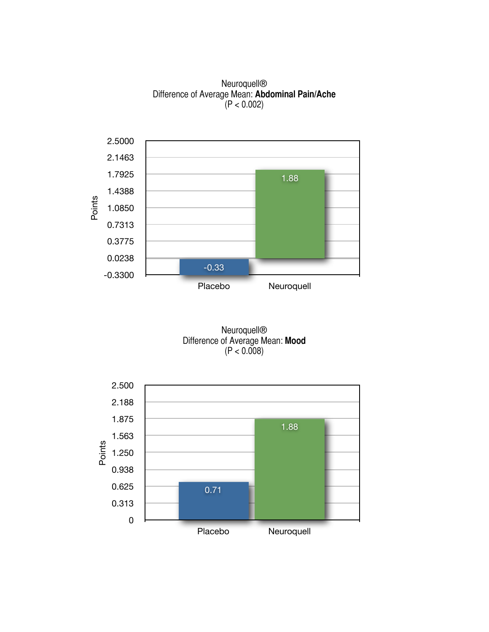Neuroquell® Difference of Average Mean: **Abdominal Pain/Ache**  $(P < 0.002)$ 



Neuroquell® Difference of Average Mean: **Mood**  $(P < 0.008)$ 

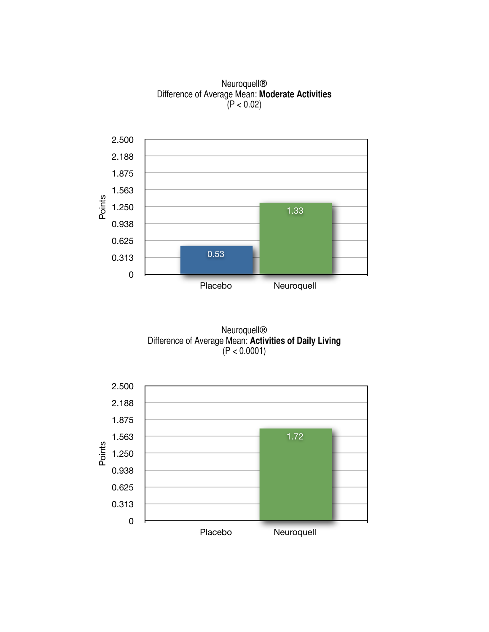Neuroquell® Difference of Average Mean: **Moderate Activities** (P < 0.02)



Neuroquell® Difference of Average Mean: **Activities of Daily Living** (P < 0.0001)

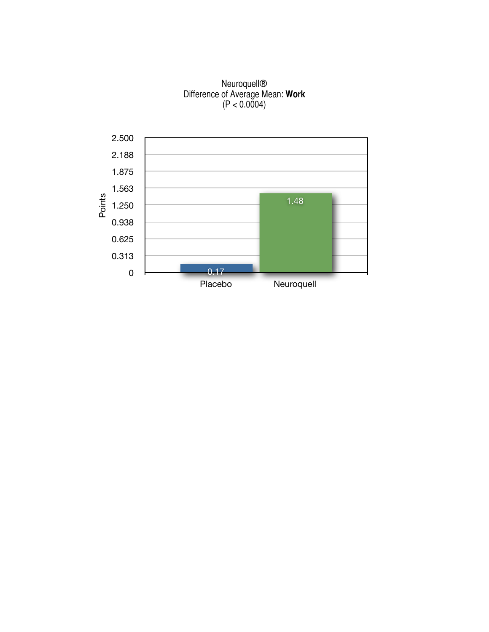#### Neuroquell® Difference of Average Mean: **Work** (P < 0.0004)

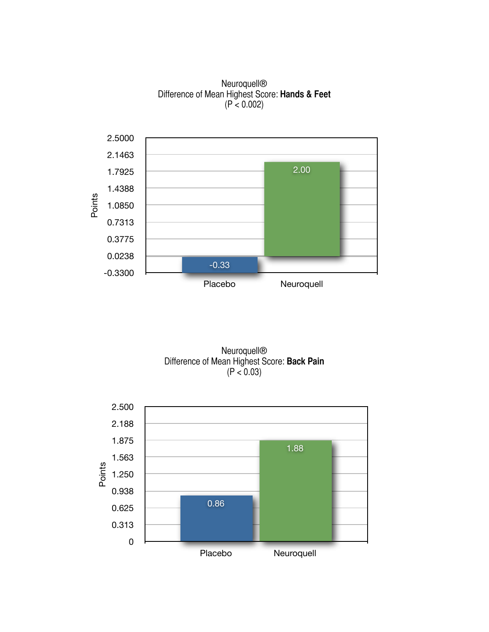



Neuroquell® Difference of Mean Highest Score: **Back Pain** (P < 0.03)

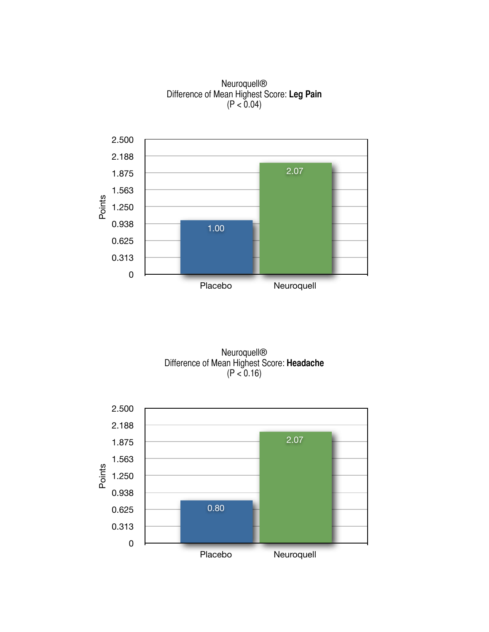

Neuroquell® Difference of Mean Highest Score: **Leg Pain** (P < 0.04)

Neuroquell® Difference of Mean Highest Score: **Headache** (P < 0.16)

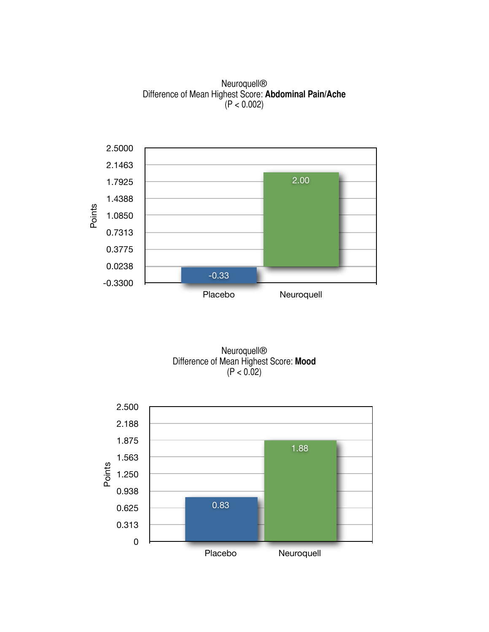Neuroquell® Difference of Mean Highest Score: **Abdominal Pain/Ache**  $(P < 0.002)$ 





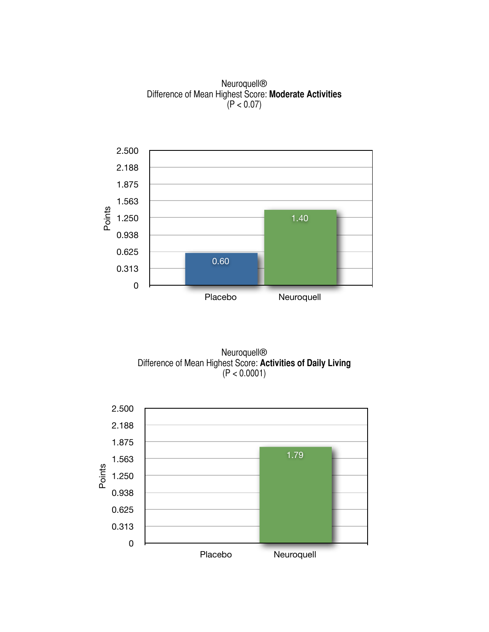Neuroquell® Difference of Mean Highest Score: **Moderate Activities**  $(P < 0.07)$ 





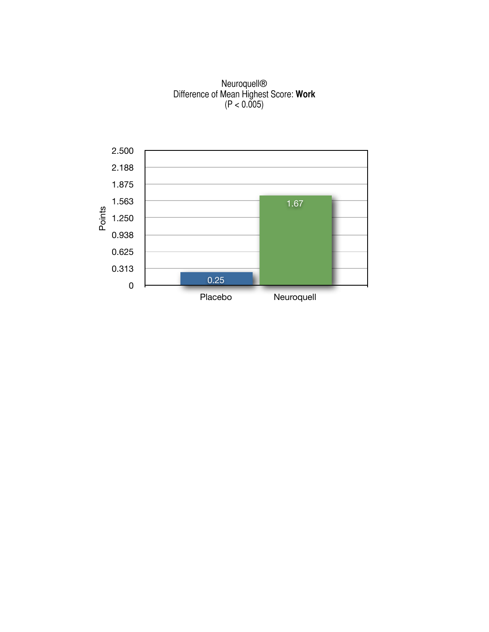#### Neuroquell® Difference of Mean Highest Score: **Work**  $(P < 0.005)$

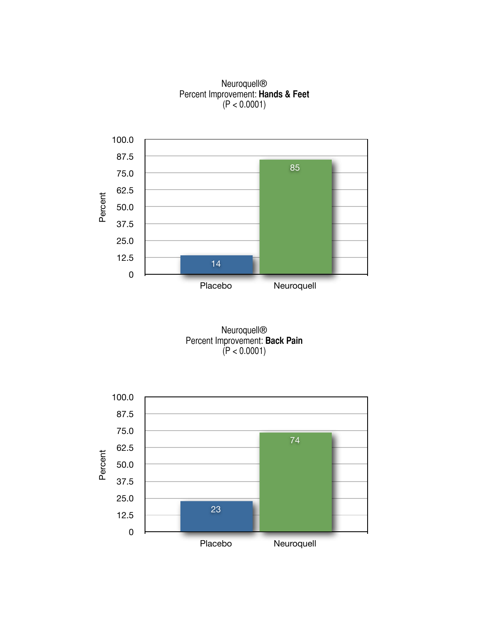Neuroquell® Percent Improvement: **Hands & Feet** (P < 0.0001)



Neuroquell® Percent Improvement: **Back Pain** (P < 0.0001)

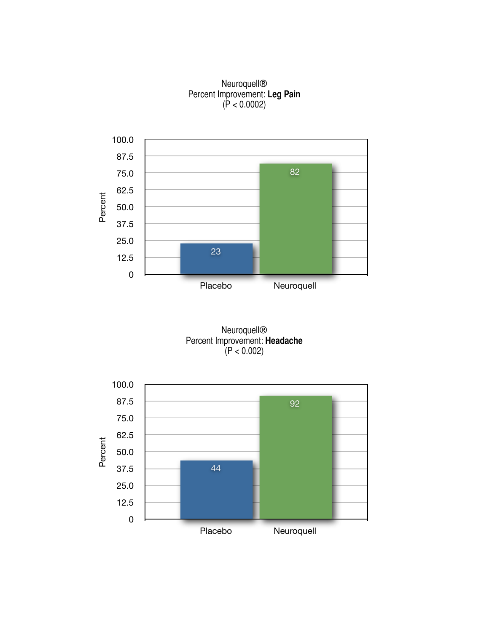#### Neuroquell® Percent Improvement: **Leg Pain** (P < 0.0002)



Neuroquell® Percent Improvement: **Headache**  $(P < 0.002)$ 

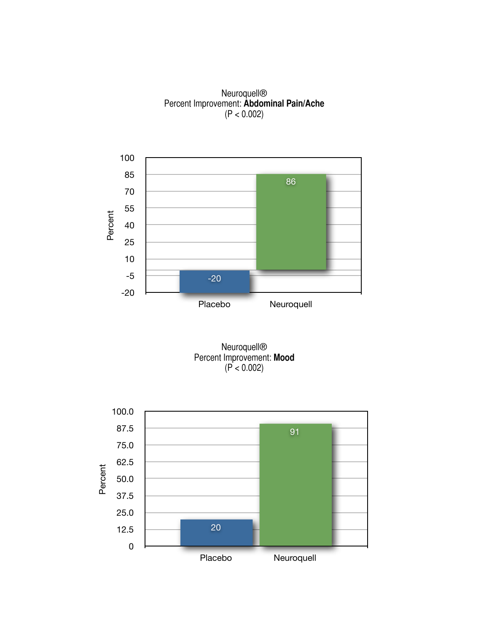Neuroquell® Percent Improvement: **Abdominal Pain/Ache**  $(P < 0.002)$ 





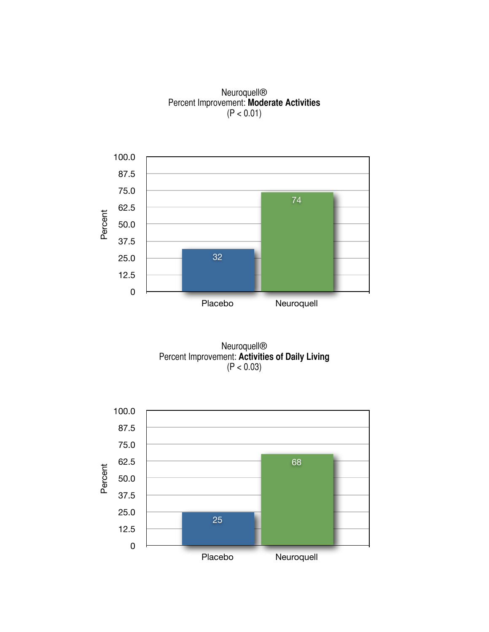#### Neuroquell® Percent Improvement: **Moderate Activities**  $(P < 0.01)$